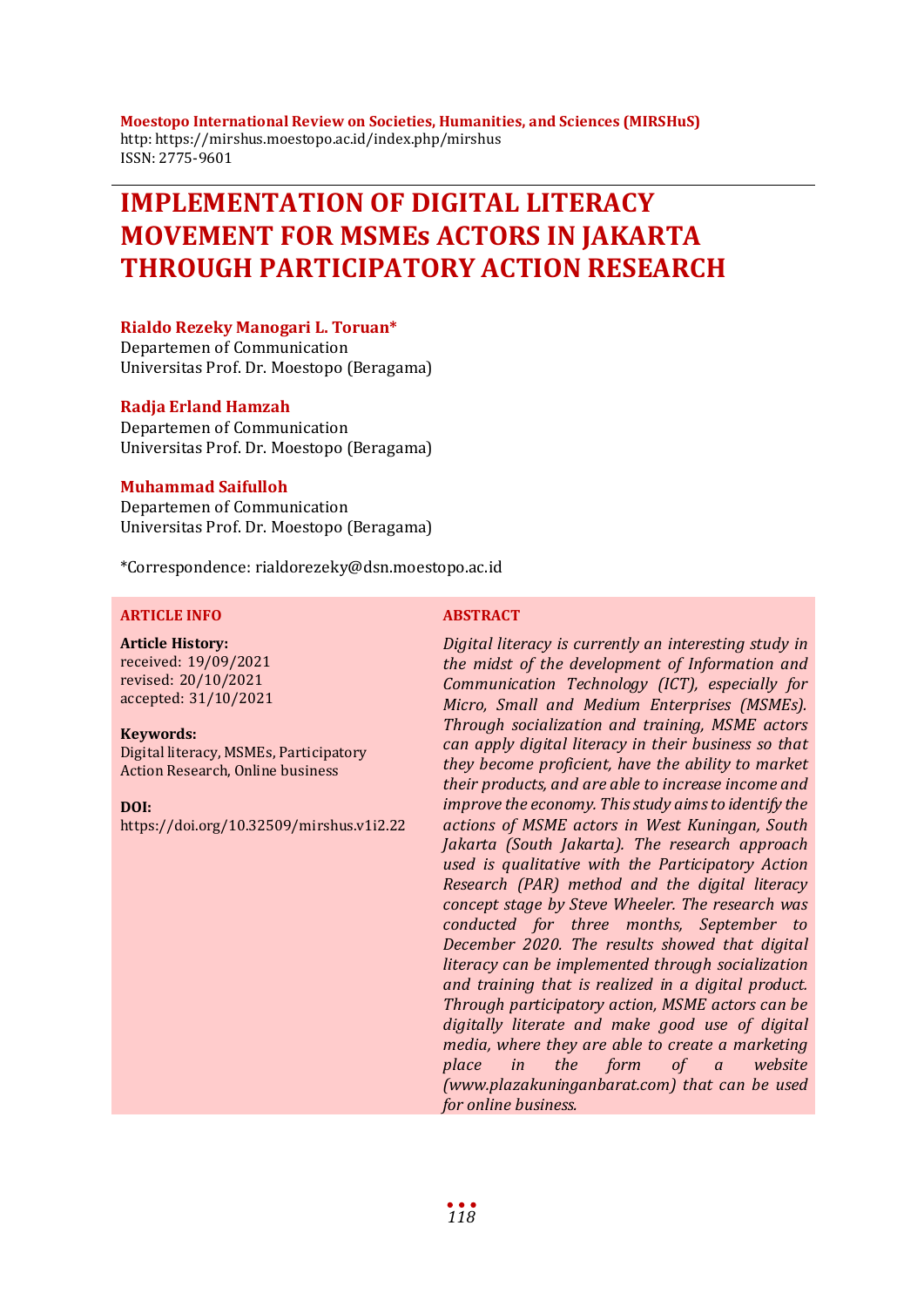**Moestopo International Review on Societies, Humanities, and Sciences (MIRSHuS)** http: https://mirshus.moestopo.ac.id/index.php/mirshus ISSN: 2775-9601

# **IMPLEMENTATION OF DIGITAL LITERACY MOVEMENT FOR MSMEs ACTORS IN JAKARTA THROUGH PARTICIPATORY ACTION RESEARCH**

### **Rialdo Rezeky Manogari L. Toruan\***

Departemen of Communication Universitas Prof. Dr. Moestopo (Beragama)

#### **Radja Erland Hamzah**

Departemen of Communication Universitas Prof. Dr. Moestopo (Beragama)

#### **Muhammad Saifulloh**

Departemen of Communication Universitas Prof. Dr. Moestopo (Beragama)

\*Correspondence: rialdorezeky@dsn.moestopo.ac.id

### **ARTICLE INFO ABSTRACT**

**Article History:** received: 19/09/2021 revised: 20/10/2021 accepted: 31/10/2021

#### **Keywords:**

Digital literacy, MSMEs, Participatory Action Research, Online business

**DOI:**

https://doi.org/10.32509/mirshus.v1i2.22

*Digital literacy is currently an interesting study in the midst of the development of Information and Communication Technology (ICT), especially for Micro, Small and Medium Enterprises (MSMEs). Through socialization and training, MSME actors can apply digital literacy in their business so that they become proficient, have the ability to market their products, and are able to increase income and improve the economy. This study aims to identify the actions of MSME actors in West Kuningan, South Jakarta (South Jakarta). The research approach used is qualitative with the Participatory Action Research (PAR) method and the digital literacy concept stage by Steve Wheeler. The research was conducted for three months, September to December 2020. The results showed that digital literacy can be implemented through socialization and training that is realized in a digital product. Through participatory action, MSME actors can be digitally literate and make good use of digital media, where they are able to create a marketing place in the form of a website (www.plazakuninganbarat.com) that can be used for online business.*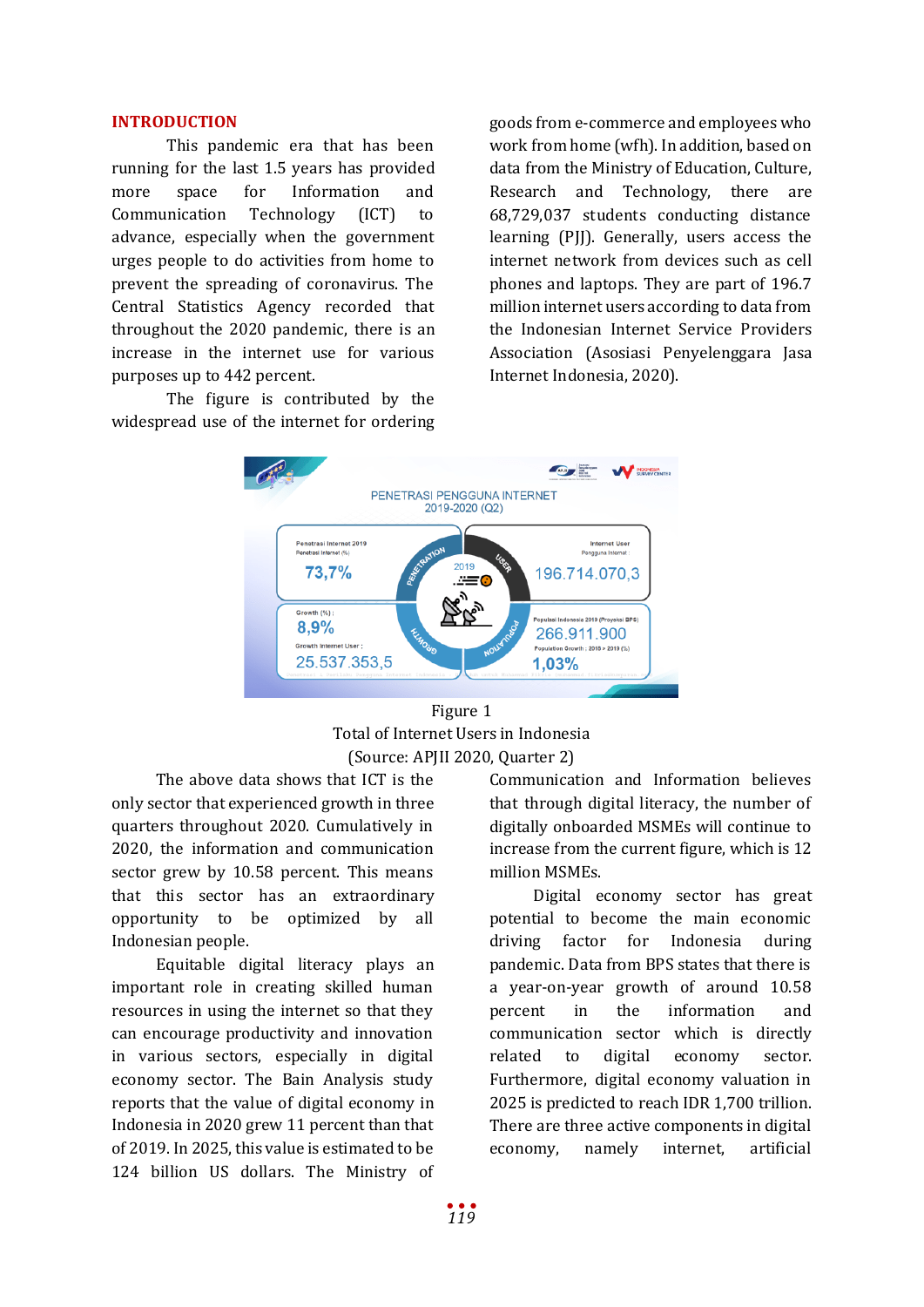### **INTRODUCTION**

This pandemic era that has been running for the last 1.5 years has provided more space for Information and Communication Technology (ICT) to advance, especially when the government urges people to do activities from home to prevent the spreading of coronavirus. The Central Statistics Agency recorded that throughout the 2020 pandemic, there is an increase in the internet use for various purposes up to 442 percent.

The figure is contributed by the widespread use of the internet for ordering goods from e-commerce and employees who work from home (wfh). In addition, based on data from the Ministry of Education, Culture, Research and Technology, there are 68,729,037 students conducting distance learning (PJJ). Generally, users access the internet network from devices such as cell phones and laptops. They are part of 196.7 million internet users according to data from the Indonesian Internet Service Providers Association (Asosiasi Penyelenggara Jasa Internet Indonesia, 2020).



Figure 1 Total of Internet Users in Indonesia (Source: APJII 2020, Quarter 2)

The above data shows that ICT is the only sector that experienced growth in three quarters throughout 2020. Cumulatively in 2020, the information and communication sector grew by 10.58 percent. This means that this sector has an extraordinary opportunity to be optimized by all Indonesian people.

Equitable digital literacy plays an important role in creating skilled human resources in using the internet so that they can encourage productivity and innovation in various sectors, especially in digital economy sector. The Bain Analysis study reports that the value of digital economy in Indonesia in 2020 grew 11 percent than that of 2019. In 2025, this value is estimated to be 124 billion US dollars. The Ministry of Communication and Information believes that through digital literacy, the number of digitally onboarded MSMEs will continue to increase from the current figure, which is 12 million MSMEs.

Digital economy sector has great potential to become the main economic driving factor for Indonesia during pandemic. Data from BPS states that there is a year-on-year growth of around 10.58 percent in the information and communication sector which is directly related to digital economy sector. Furthermore, digital economy valuation in 2025 is predicted to reach IDR 1,700 trillion. There are three active components in digital economy, namely internet, artificial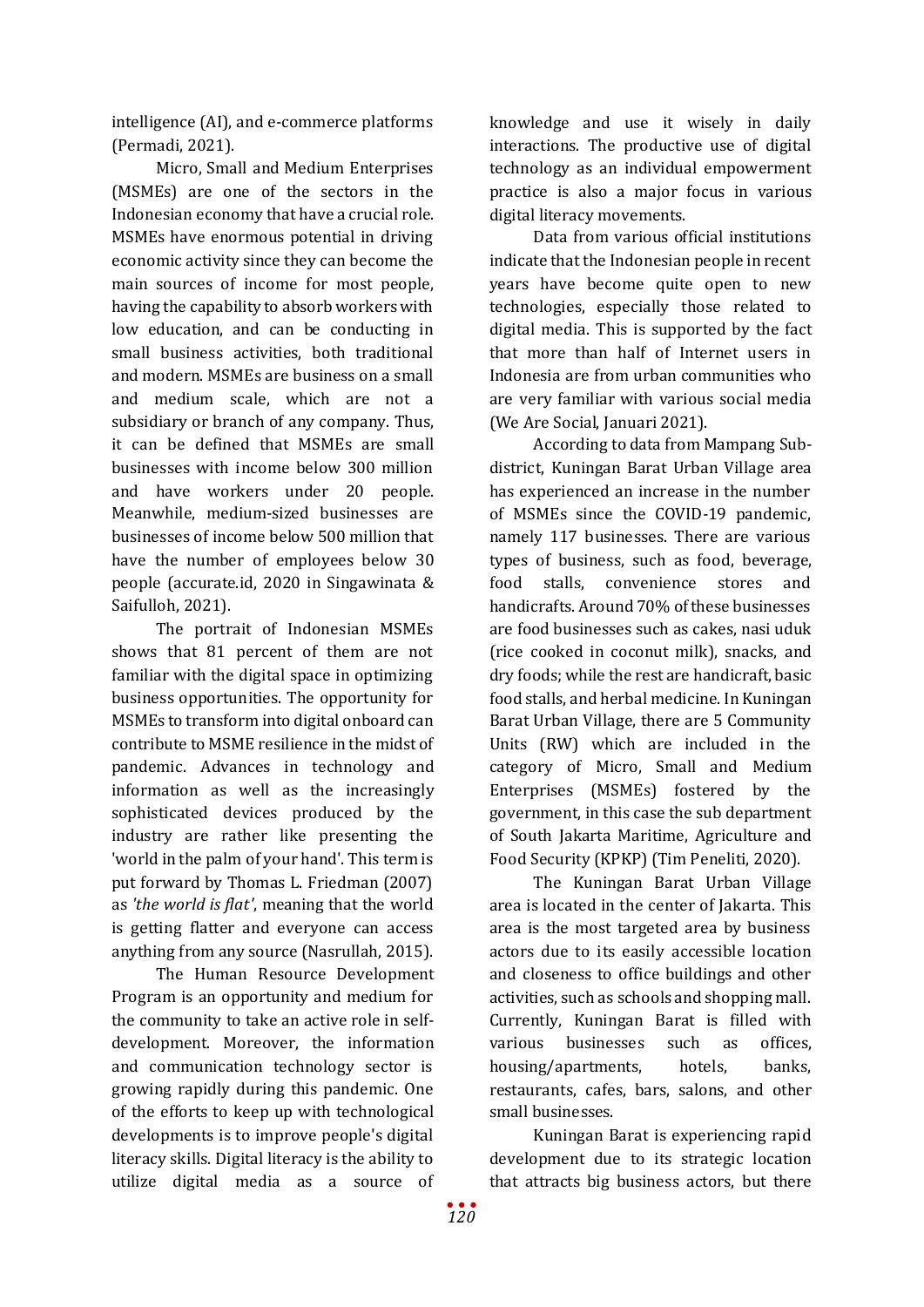intelligence (AI), and e-commerce platforms (Permadi, 2021).

Micro, Small and Medium Enterprises (MSMEs) are one of the sectors in the Indonesian economy that have a crucial role. MSMEs have enormous potential in driving economic activity since they can become the main sources of income for most people, having the capability to absorb workers with low education, and can be conducting in small business activities, both traditional and modern. MSMEs are business on a small and medium scale, which are not a subsidiary or branch of any company. Thus, it can be defined that MSMEs are small businesses with income below 300 million and have workers under 20 people. Meanwhile, medium-sized businesses are businesses of income below 500 million that have the number of employees below 30 people (accurate.id, 2020 in Singawinata & Saifulloh, 2021).

The portrait of Indonesian MSMEs shows that 81 percent of them are not familiar with the digital space in optimizing business opportunities. The opportunity for MSMEs to transform into digital onboard can contribute to MSME resilience in the midst of pandemic. Advances in technology and information as well as the increasingly sophisticated devices produced by the industry are rather like presenting the 'world in the palm of your hand'. This term is put forward by Thomas L. Friedman (2007) as *'the world is flat'*, meaning that the world is getting flatter and everyone can access anything from any source (Nasrullah, 2015).

The Human Resource Development Program is an opportunity and medium for the community to take an active role in selfdevelopment. Moreover, the information and communication technology sector is growing rapidly during this pandemic. One of the efforts to keep up with technological developments is to improve people's digital literacy skills. Digital literacy is the ability to utilize digital media as a source of

knowledge and use it wisely in daily interactions. The productive use of digital technology as an individual empowerment practice is also a major focus in various digital literacy movements.

Data from various official institutions indicate that the Indonesian people in recent years have become quite open to new technologies, especially those related to digital media. This is supported by the fact that more than half of Internet users in Indonesia are from urban communities who are very familiar with various social media (We Are Social, Januari 2021).

According to data from Mampang Subdistrict, Kuningan Barat Urban Village area has experienced an increase in the number of MSMEs since the COVID-19 pandemic, namely 117 businesses. There are various types of business, such as food, beverage, food stalls, convenience stores and handicrafts. Around 70% of these businesses are food businesses such as cakes, nasi uduk (rice cooked in coconut milk), snacks, and dry foods; while the rest are handicraft, basic food stalls, and herbal medicine. In Kuningan Barat Urban Village, there are 5 Community Units (RW) which are included in the category of Micro, Small and Medium Enterprises (MSMEs) fostered by the government, in this case the sub department of South Jakarta Maritime, Agriculture and Food Security (KPKP) (Tim Peneliti, 2020).

The Kuningan Barat Urban Village area is located in the center of Jakarta. This area is the most targeted area by business actors due to its easily accessible location and closeness to office buildings and other activities, such as schools and shopping mall. Currently, Kuningan Barat is filled with<br>various businesses such as offices. businesses such as offices, housing/apartments, hotels, banks, restaurants, cafes, bars, salons, and other small businesses.

Kuningan Barat is experiencing rapid development due to its strategic location that attracts big business actors, but there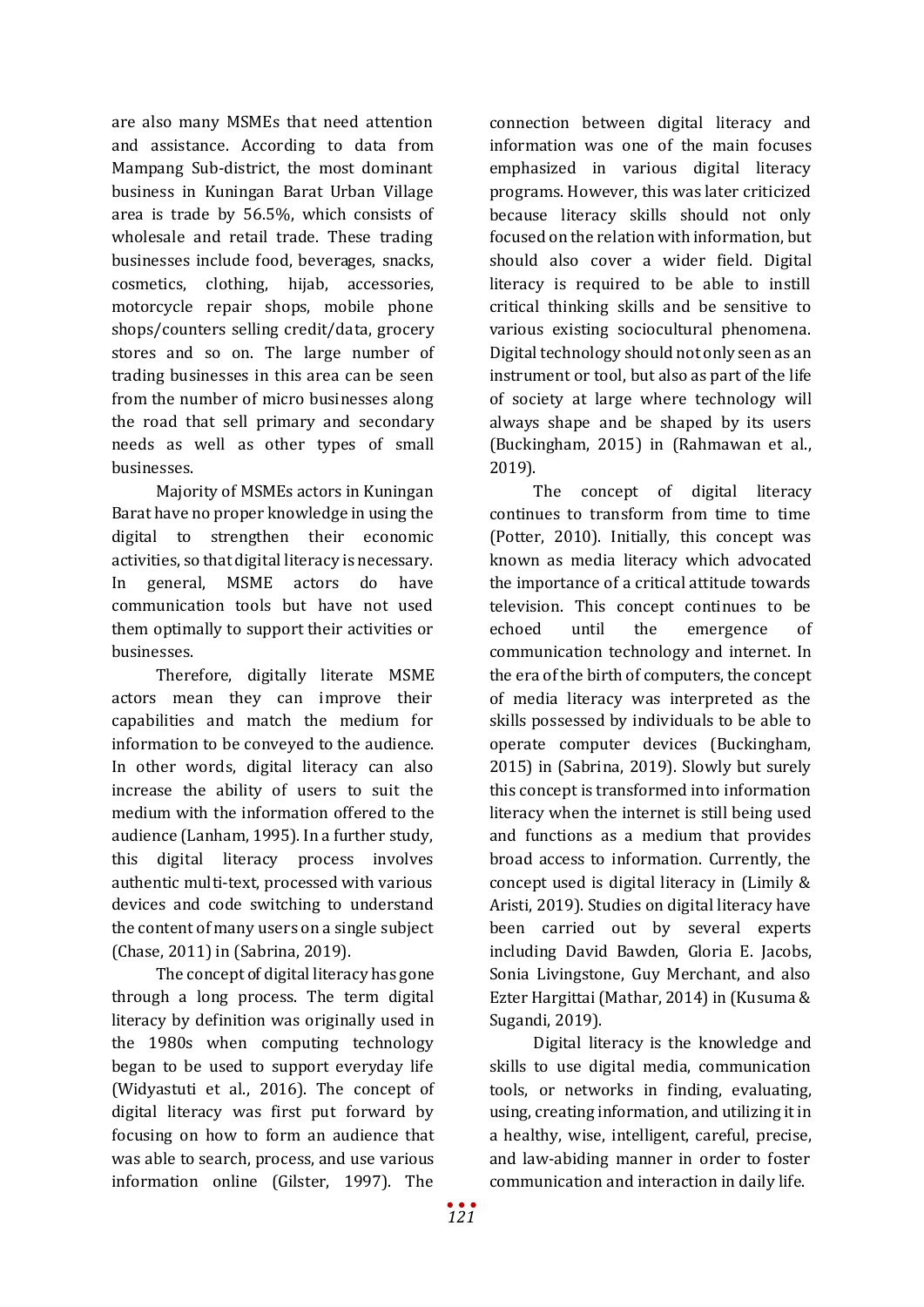are also many MSMEs that need attention and assistance. According to data from Mampang Sub-district, the most dominant business in Kuningan Barat Urban Village area is trade by 56.5%, which consists of wholesale and retail trade. These trading businesses include food, beverages, snacks, cosmetics, clothing, hijab, accessories, motorcycle repair shops, mobile phone shops/counters selling credit/data, grocery stores and so on. The large number of trading businesses in this area can be seen from the number of micro businesses along the road that sell primary and secondary needs as well as other types of small businesses.

Majority of MSMEs actors in Kuningan Barat have no proper knowledge in using the digital to strengthen their economic activities, so that digital literacy is necessary. In general, MSME actors do have communication tools but have not used them optimally to support their activities or businesses.

Therefore, digitally literate MSME actors mean they can improve their capabilities and match the medium for information to be conveyed to the audience. In other words, digital literacy can also increase the ability of users to suit the medium with the information offered to the audience (Lanham, 1995). In a further study, this digital literacy process involves authentic multi-text, processed with various devices and code switching to understand the content of many users on a single subject (Chase, 2011) in (Sabrina, 2019).

The concept of digital literacy has gone through a long process. The term digital literacy by definition was originally used in the 1980s when computing technology began to be used to support everyday life (Widyastuti et al., 2016). The concept of digital literacy was first put forward by focusing on how to form an audience that was able to search, process, and use various information online (Gilster, 1997). The

connection between digital literacy and information was one of the main focuses emphasized in various digital literacy programs. However, this was later criticized because literacy skills should not only focused on the relation with information, but should also cover a wider field. Digital literacy is required to be able to instill critical thinking skills and be sensitive to various existing sociocultural phenomena. Digital technology should not only seen as an instrument or tool, but also as part of the life of society at large where technology will always shape and be shaped by its users (Buckingham, 2015) in (Rahmawan et al., 2019).

The concept of digital literacy continues to transform from time to time (Potter, 2010). Initially, this concept was known as media literacy which advocated the importance of a critical attitude towards television. This concept continues to be echoed until the emergence of communication technology and internet. In the era of the birth of computers, the concept of media literacy was interpreted as the skills possessed by individuals to be able to operate computer devices (Buckingham, 2015) in (Sabrina, 2019). Slowly but surely this concept is transformed into information literacy when the internet is still being used and functions as a medium that provides broad access to information. Currently, the concept used is digital literacy in (Limily & Aristi, 2019). Studies on digital literacy have been carried out by several experts including David Bawden, Gloria E. Jacobs, Sonia Livingstone, Guy Merchant, and also Ezter Hargittai (Mathar, 2014) in (Kusuma & Sugandi, 2019).

Digital literacy is the knowledge and skills to use digital media, communication tools, or networks in finding, evaluating, using, creating information, and utilizing it in a healthy, wise, intelligent, careful, precise, and law-abiding manner in order to foster communication and interaction in daily life.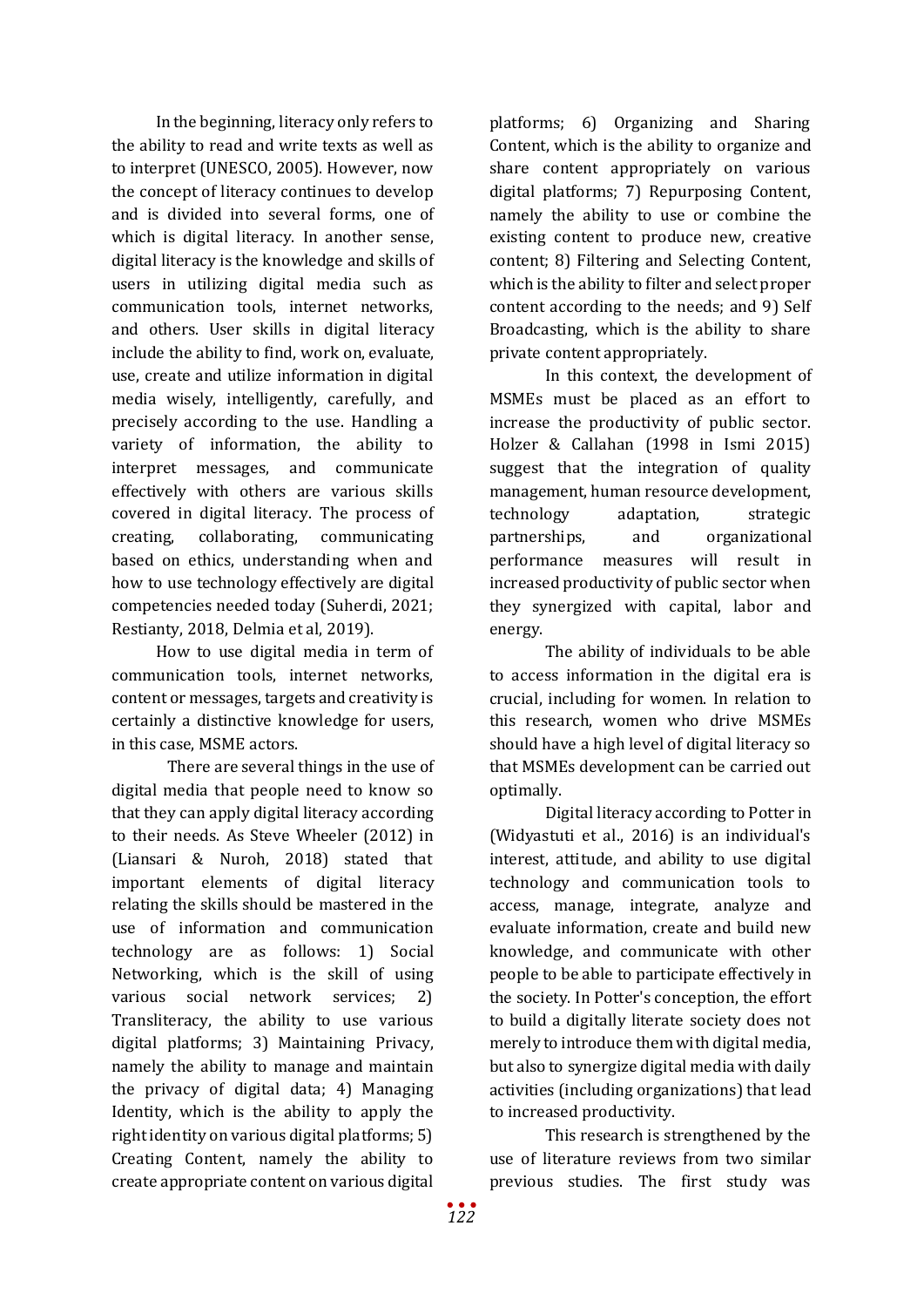In the beginning, literacy only refers to the ability to read and write texts as well as to interpret (UNESCO, 2005). However, now the concept of literacy continues to develop and is divided into several forms, one of which is digital literacy. In another sense, digital literacy is the knowledge and skills of users in utilizing digital media such as communication tools, internet networks, and others. User skills in digital literacy include the ability to find, work on, evaluate, use, create and utilize information in digital media wisely, intelligently, carefully, and precisely according to the use. Handling a variety of information, the ability to interpret messages, and communicate effectively with others are various skills covered in digital literacy. The process of creating, collaborating, communicating based on ethics, understanding when and how to use technology effectively are digital competencies needed today (Suherdi, 2021; Restianty, 2018, Delmia et al, 2019).

How to use digital media in term of communication tools, internet networks, content or messages, targets and creativity is certainly a distinctive knowledge for users, in this case, MSME actors.

There are several things in the use of digital media that people need to know so that they can apply digital literacy according to their needs. As Steve Wheeler (2012) in (Liansari & Nuroh, 2018) stated that important elements of digital literacy relating the skills should be mastered in the use of information and communication technology are as follows: 1) Social Networking, which is the skill of using various social network services; 2) Transliteracy, the ability to use various digital platforms; 3) Maintaining Privacy, namely the ability to manage and maintain the privacy of digital data; 4) Managing Identity, which is the ability to apply the right identity on various digital platforms; 5) Creating Content, namely the ability to create appropriate content on various digital

platforms; 6) Organizing and Sharing Content, which is the ability to organize and share content appropriately on various digital platforms; 7) Repurposing Content, namely the ability to use or combine the existing content to produce new, creative content; 8) Filtering and Selecting Content, which is the ability to filter and select proper content according to the needs; and 9) Self Broadcasting, which is the ability to share private content appropriately.

In this context, the development of MSMEs must be placed as an effort to increase the productivity of public sector. Holzer & Callahan (1998 in Ismi 2015) suggest that the integration of quality management, human resource development, technology adaptation, strategic partnerships, and organizational performance measures will result in increased productivity of public sector when they synergized with capital, labor and energy.

The ability of individuals to be able to access information in the digital era is crucial, including for women. In relation to this research, women who drive MSMEs should have a high level of digital literacy so that MSMEs development can be carried out optimally.

Digital literacy according to Potter in (Widyastuti et al., 2016) is an individual's interest, attitude, and ability to use digital technology and communication tools to access, manage, integrate, analyze and evaluate information, create and build new knowledge, and communicate with other people to be able to participate effectively in the society. In Potter's conception, the effort to build a digitally literate society does not merely to introduce them with digital media, but also to synergize digital media with daily activities (including organizations) that lead to increased productivity.

This research is strengthened by the use of literature reviews from two similar previous studies. The first study was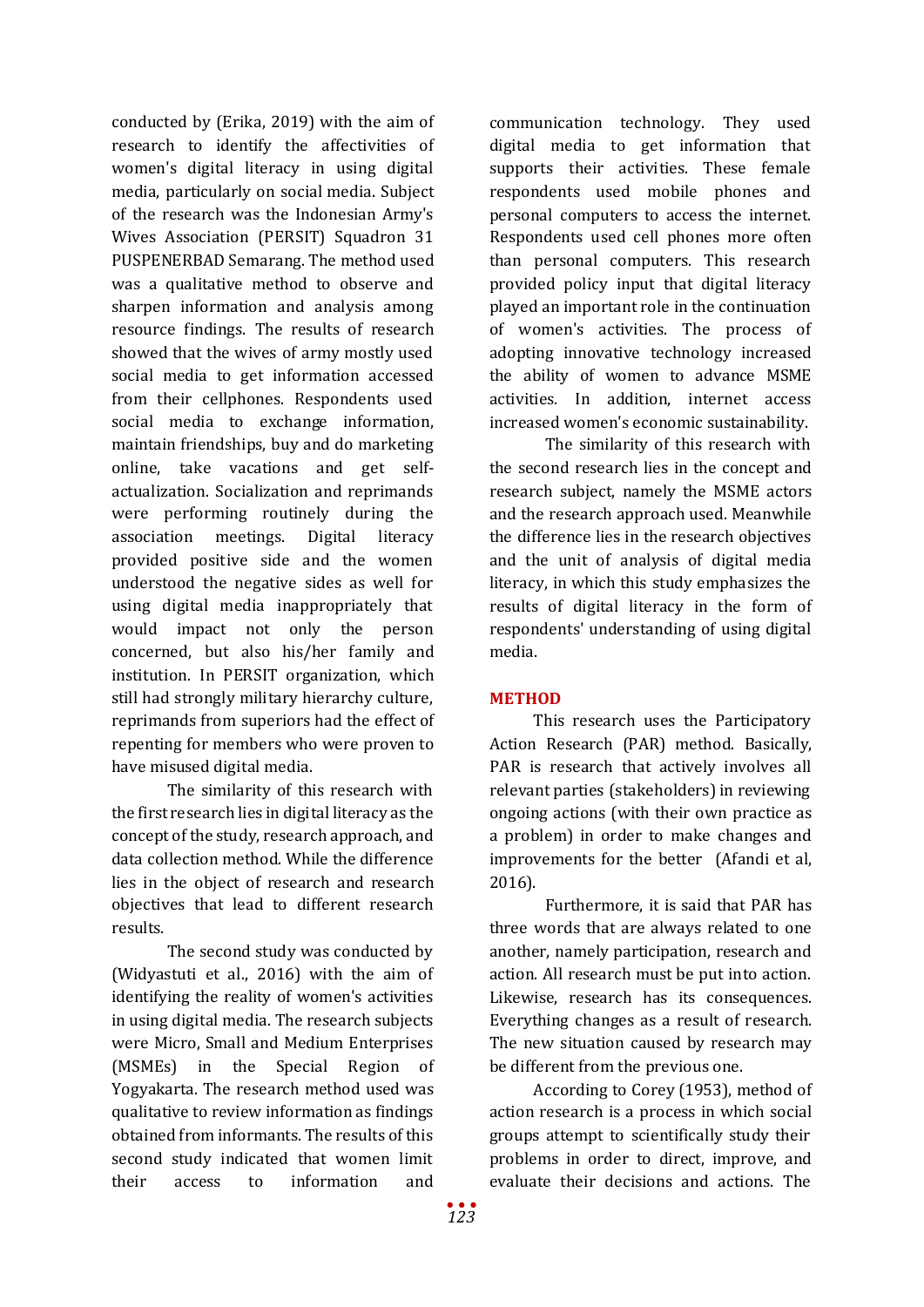conducted by (Erika, 2019) with the aim of research to identify the affectivities of women's digital literacy in using digital media, particularly on social media. Subject of the research was the Indonesian Army's Wives Association (PERSIT) Squadron 31 PUSPENERBAD Semarang. The method used was a qualitative method to observe and sharpen information and analysis among resource findings. The results of research showed that the wives of army mostly used social media to get information accessed from their cellphones. Respondents used social media to exchange information, maintain friendships, buy and do marketing online, take vacations and get selfactualization. Socialization and reprimands were performing routinely during the association meetings. Digital literacy provided positive side and the women understood the negative sides as well for using digital media inappropriately that would impact not only the person concerned, but also his/her family and institution. In PERSIT organization, which still had strongly military hierarchy culture, reprimands from superiors had the effect of repenting for members who were proven to have misused digital media.

The similarity of this research with the first research lies in digital literacy as the concept of the study, research approach, and data collection method. While the difference lies in the object of research and research objectives that lead to different research results.

The second study was conducted by (Widyastuti et al., 2016) with the aim of identifying the reality of women's activities in using digital media. The research subjects were Micro, Small and Medium Enterprises (MSMEs) in the Special Region of Yogyakarta. The research method used was qualitative to review information as findings obtained from informants. The results of this second study indicated that women limit their access to information and

communication technology. They used digital media to get information that supports their activities. These female respondents used mobile phones and personal computers to access the internet. Respondents used cell phones more often than personal computers. This research provided policy input that digital literacy played an important role in the continuation of women's activities. The process of adopting innovative technology increased the ability of women to advance MSME activities. In addition, internet access increased women's economic sustainability.

The similarity of this research with the second research lies in the concept and research subject, namely the MSME actors and the research approach used. Meanwhile the difference lies in the research objectives and the unit of analysis of digital media literacy, in which this study emphasizes the results of digital literacy in the form of respondents' understanding of using digital media.

# **METHOD**

This research uses the Participatory Action Research (PAR) method. Basically, PAR is research that actively involves all relevant parties (stakeholders) in reviewing ongoing actions (with their own practice as a problem) in order to make changes and improvements for the better (Afandi et al, 2016).

Furthermore, it is said that PAR has three words that are always related to one another, namely participation, research and action. All research must be put into action. Likewise, research has its consequences. Everything changes as a result of research. The new situation caused by research may be different from the previous one.

According to Corey (1953), method of action research is a process in which social groups attempt to scientifically study their problems in order to direct, improve, and evaluate their decisions and actions. The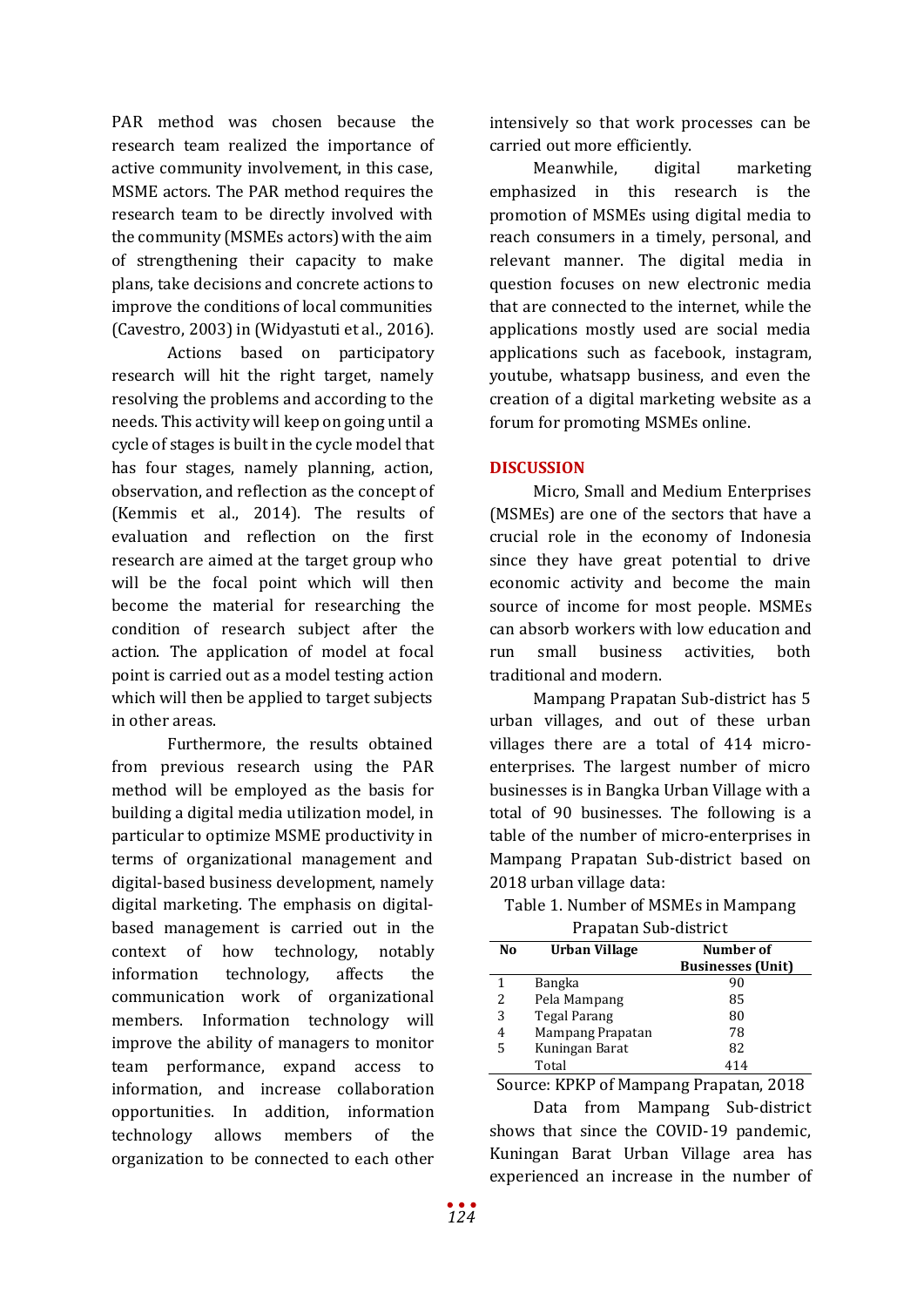PAR method was chosen because the research team realized the importance of active community involvement, in this case, MSME actors. The PAR method requires the research team to be directly involved with the community (MSMEs actors) with the aim of strengthening their capacity to make plans, take decisions and concrete actions to improve the conditions of local communities (Cavestro, 2003) in (Widyastuti et al., 2016).

Actions based on participatory research will hit the right target, namely resolving the problems and according to the needs. This activity will keep on going until a cycle of stages is built in the cycle model that has four stages, namely planning, action, observation, and reflection as the concept of (Kemmis et al., 2014). The results of evaluation and reflection on the first research are aimed at the target group who will be the focal point which will then become the material for researching the condition of research subject after the action. The application of model at focal point is carried out as a model testing action which will then be applied to target subjects in other areas.

Furthermore, the results obtained from previous research using the PAR method will be employed as the basis for building a digital media utilization model, in particular to optimize MSME productivity in terms of organizational management and digital-based business development, namely digital marketing. The emphasis on digitalbased management is carried out in the context of how technology, notably information technology, affects the communication work of organizational members. Information technology will improve the ability of managers to monitor team performance, expand access to information, and increase collaboration opportunities. In addition, information technology allows members of the organization to be connected to each other intensively so that work processes can be carried out more efficiently.

Meanwhile, digital marketing emphasized in this research is the promotion of MSMEs using digital media to reach consumers in a timely, personal, and relevant manner. The digital media in question focuses on new electronic media that are connected to the internet, while the applications mostly used are social media applications such as facebook, instagram, youtube, whatsapp business, and even the creation of a digital marketing website as a forum for promoting MSMEs online.

# **DISCUSSION**

Micro, Small and Medium Enterprises (MSMEs) are one of the sectors that have a crucial role in the economy of Indonesia since they have great potential to drive economic activity and become the main source of income for most people. MSMEs can absorb workers with low education and run small business activities, both traditional and modern.

Mampang Prapatan Sub-district has 5 urban villages, and out of these urban villages there are a total of 414 microenterprises. The largest number of micro businesses is in Bangka Urban Village with a total of 90 businesses. The following is a table of the number of micro-enterprises in Mampang Prapatan Sub-district based on 2018 urban village data:

Table 1. Number of MSMEs in Mampang Prapatan Sub-district

| No | Urban Village    | Number of<br><b>Businesses (Unit)</b> |
|----|------------------|---------------------------------------|
| 1  | Bangka           | 90                                    |
| 2  | Pela Mampang     | 85                                    |
| 3  | Tegal Parang     | 80                                    |
| 4  | Mampang Prapatan | 78                                    |
| 5  | Kuningan Barat   | 82                                    |
|    | Total            | 414                                   |

Source: KPKP of Mampang Prapatan, 2018

Data from Mampang Sub-district shows that since the COVID-19 pandemic, Kuningan Barat Urban Village area has experienced an increase in the number of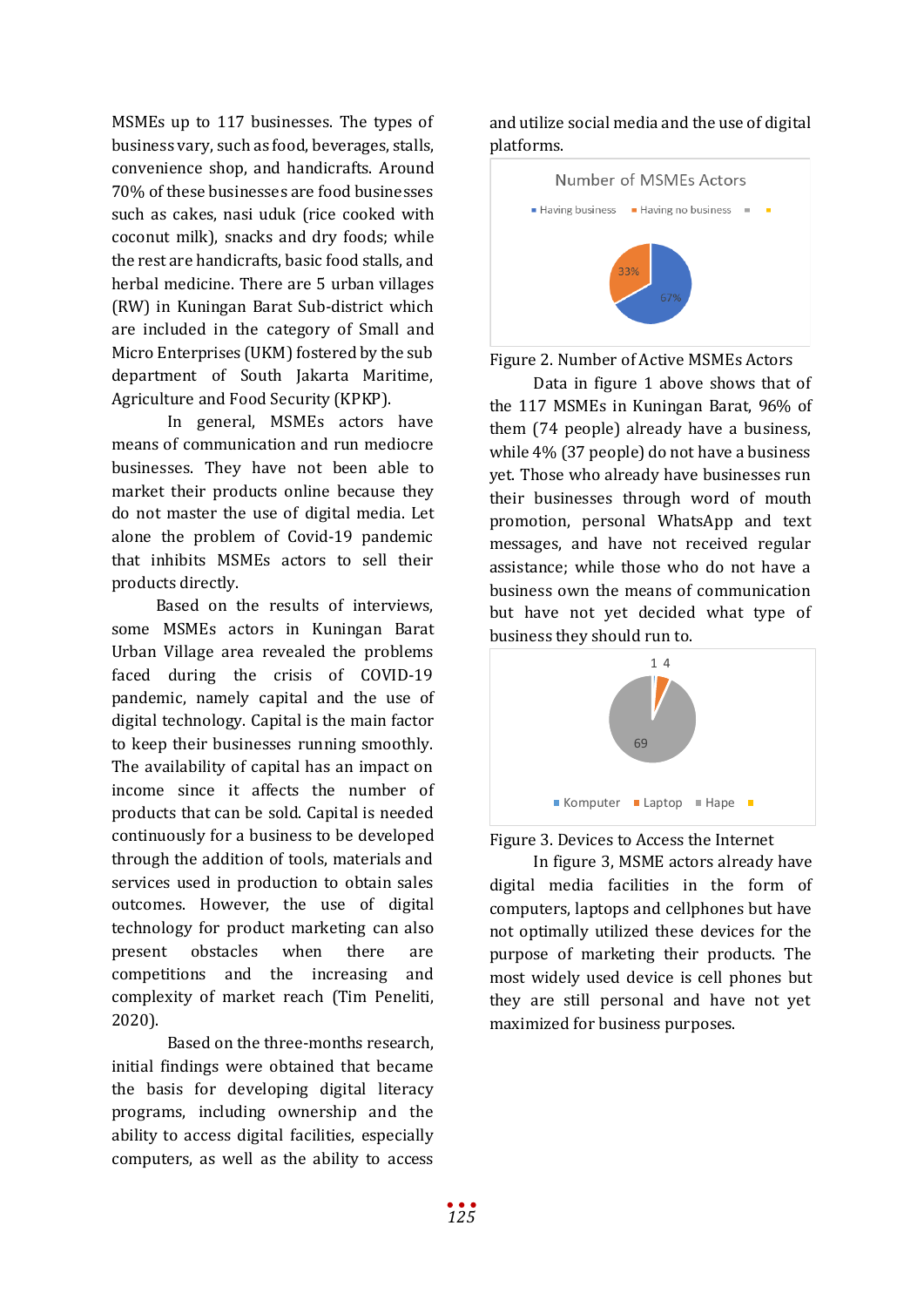MSMEs up to 117 businesses. The types of business vary, such as food, beverages, stalls, convenience shop, and handicrafts. Around 70% of these businesses are food businesses such as cakes, nasi uduk (rice cooked with coconut milk), snacks and dry foods; while the rest are handicrafts, basic food stalls, and herbal medicine. There are 5 urban villages (RW) in Kuningan Barat Sub-district which are included in the category of Small and Micro Enterprises (UKM) fostered by the sub department of South Jakarta Maritime, Agriculture and Food Security (KPKP).

In general, MSMEs actors have means of communication and run mediocre businesses. They have not been able to market their products online because they do not master the use of digital media. Let alone the problem of Covid-19 pandemic that inhibits MSMEs actors to sell their products directly.

Based on the results of interviews, some MSMEs actors in Kuningan Barat Urban Village area revealed the problems faced during the crisis of COVID-19 pandemic, namely capital and the use of digital technology. Capital is the main factor to keep their businesses running smoothly. The availability of capital has an impact on income since it affects the number of products that can be sold. Capital is needed continuously for a business to be developed through the addition of tools, materials and services used in production to obtain sales outcomes. However, the use of digital technology for product marketing can also present obstacles when there are competitions and the increasing and complexity of market reach (Tim Peneliti, 2020).

Based on the three-months research, initial findings were obtained that became the basis for developing digital literacy programs, including ownership and the ability to access digital facilities, especially computers, as well as the ability to access and utilize social media and the use of digital platforms.



Figure 2. Number of Active MSMEs Actors

Data in figure 1 above shows that of the 117 MSMEs in Kuningan Barat, 96% of them (74 people) already have a business, while 4% (37 people) do not have a business yet. Those who already have businesses run their businesses through word of mouth promotion, personal WhatsApp and text messages, and have not received regular assistance; while those who do not have a business own the means of communication but have not yet decided what type of business they should run to.



Figure 3. Devices to Access the Internet

In figure 3, MSME actors already have digital media facilities in the form of computers, laptops and cellphones but have not optimally utilized these devices for the purpose of marketing their products. The most widely used device is cell phones but they are still personal and have not yet maximized for business purposes.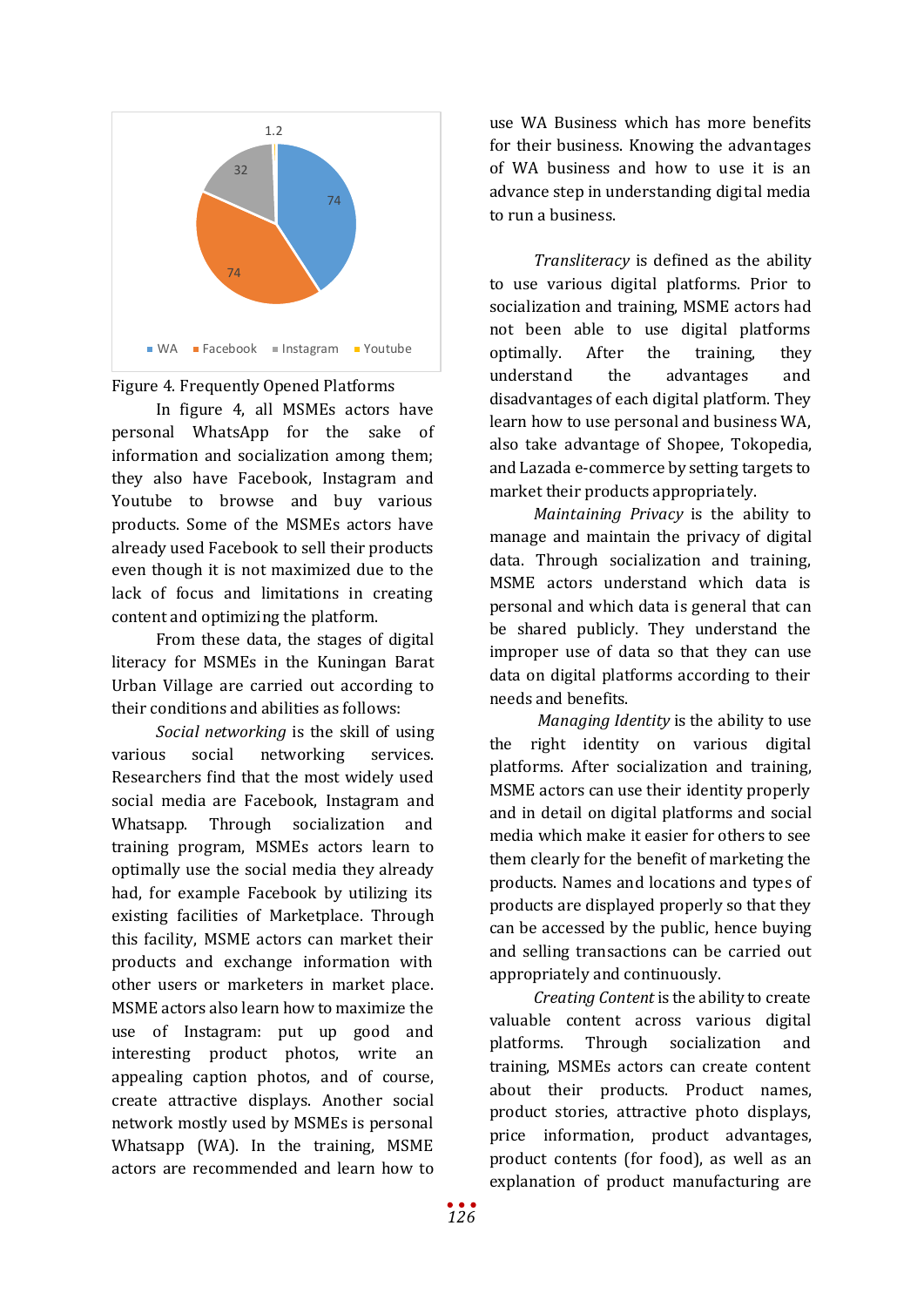

Figure 4. Frequently Opened Platforms

In figure 4, all MSMEs actors have personal WhatsApp for the sake of information and socialization among them; they also have Facebook, Instagram and Youtube to browse and buy various products. Some of the MSMEs actors have already used Facebook to sell their products even though it is not maximized due to the lack of focus and limitations in creating content and optimizing the platform.

From these data, the stages of digital literacy for MSMEs in the Kuningan Barat Urban Village are carried out according to their conditions and abilities as follows:

*Social networking* is the skill of using various social networking services. Researchers find that the most widely used social media are Facebook, Instagram and Whatsapp. Through socialization and training program, MSMEs actors learn to optimally use the social media they already had, for example Facebook by utilizing its existing facilities of Marketplace. Through this facility, MSME actors can market their products and exchange information with other users or marketers in market place. MSME actors also learn how to maximize the use of Instagram: put up good and interesting product photos, write an appealing caption photos, and of course, create attractive displays. Another social network mostly used by MSMEs is personal Whatsapp (WA). In the training, MSME actors are recommended and learn how to

use WA Business which has more benefits for their business. Knowing the advantages of WA business and how to use it is an advance step in understanding digital media to run a business.

*Transliteracy* is defined as the ability to use various digital platforms. Prior to socialization and training, MSME actors had not been able to use digital platforms optimally. After the training, they understand the advantages and disadvantages of each digital platform. They learn how to use personal and business WA, also take advantage of Shopee, Tokopedia, and Lazada e-commerce by setting targets to market their products appropriately.

*Maintaining Privacy* is the ability to manage and maintain the privacy of digital data. Through socialization and training, MSME actors understand which data is personal and which data is general that can be shared publicly. They understand the improper use of data so that they can use data on digital platforms according to their needs and benefits.

*Managing Identity* is the ability to use the right identity on various digital platforms. After socialization and training, MSME actors can use their identity properly and in detail on digital platforms and social media which make it easier for others to see them clearly for the benefit of marketing the products. Names and locations and types of products are displayed properly so that they can be accessed by the public, hence buying and selling transactions can be carried out appropriately and continuously.

*Creating Content* is the ability to create valuable content across various digital platforms. Through socialization and training, MSMEs actors can create content about their products. Product names, product stories, attractive photo displays, price information, product advantages, product contents (for food), as well as an explanation of product manufacturing are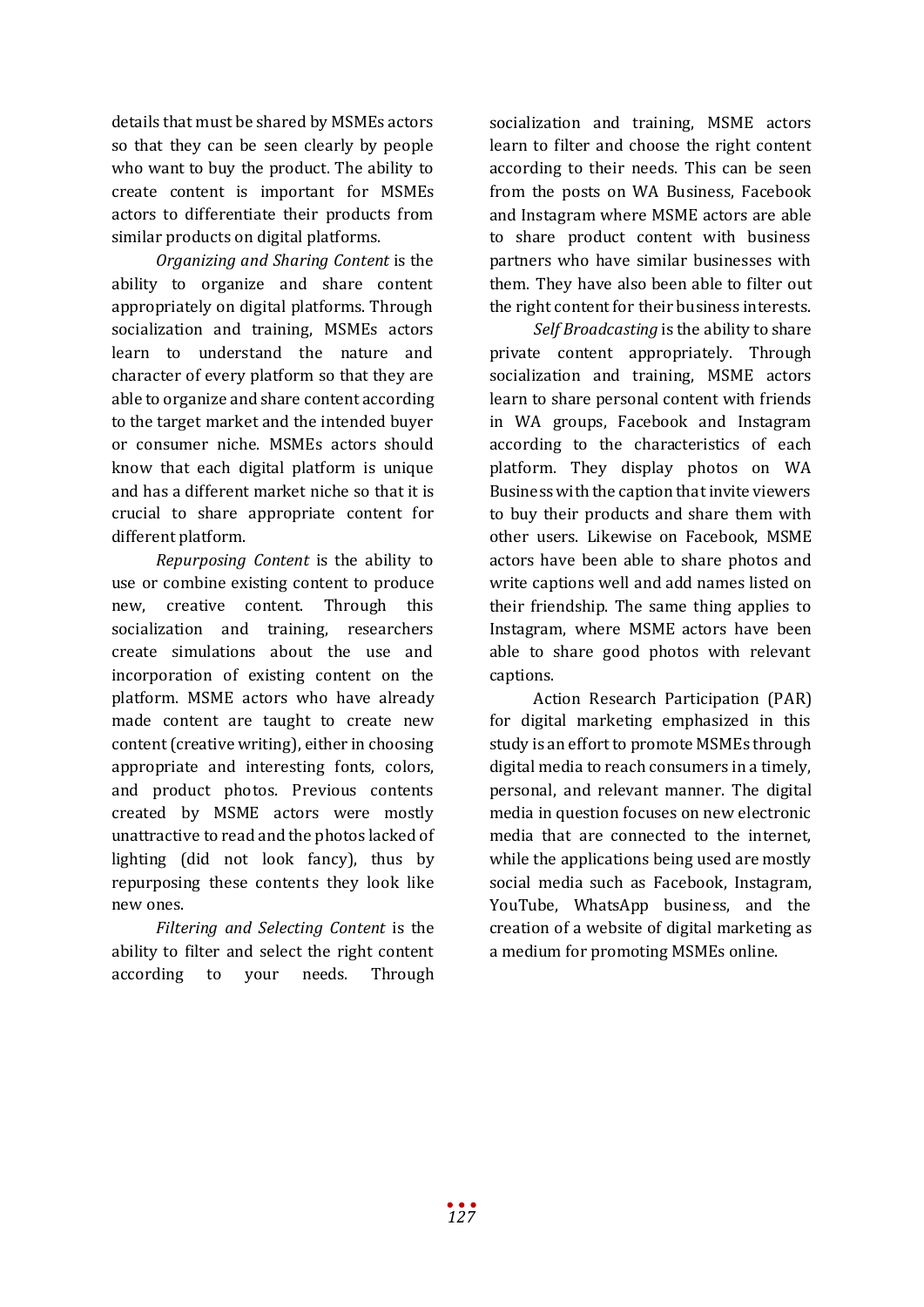details that must be shared by MSMEs actors so that they can be seen clearly by people who want to buy the product. The ability to create content is important for MSMEs actors to differentiate their products from similar products on digital platforms.

*Organizing and Sharing Content* is the ability to organize and share content appropriately on digital platforms. Through socialization and training, MSMEs actors learn to understand the nature and character of every platform so that they are able to organize and share content according to the target market and the intended buyer or consumer niche. MSMEs actors should know that each digital platform is unique and has a different market niche so that it is crucial to share appropriate content for different platform.

*Repurposing Content* is the ability to use or combine existing content to produce new, creative content. Through this socialization and training, researchers create simulations about the use and incorporation of existing content on the platform. MSME actors who have already made content are taught to create new content (creative writing), either in choosing appropriate and interesting fonts, colors, and product photos. Previous contents created by MSME actors were mostly unattractive to read and the photos lacked of lighting (did not look fancy), thus by repurposing these contents they look like new ones.

*Filtering and Selecting Content* is the ability to filter and select the right content according to your needs. Through socialization and training, MSME actors learn to filter and choose the right content according to their needs. This can be seen from the posts on WA Business, Facebook and Instagram where MSME actors are able to share product content with business partners who have similar businesses with them. They have also been able to filter out the right content for their business interests.

*Self Broadcasting* is the ability to share private content appropriately. Through socialization and training, MSME actors learn to share personal content with friends in WA groups, Facebook and Instagram according to the characteristics of each platform. They display photos on WA Business with the caption that invite viewers to buy their products and share them with other users. Likewise on Facebook, MSME actors have been able to share photos and write captions well and add names listed on their friendship. The same thing applies to Instagram, where MSME actors have been able to share good photos with relevant captions.

Action Research Participation (PAR) for digital marketing emphasized in this study is an effort to promote MSMEs through digital media to reach consumers in a timely, personal, and relevant manner. The digital media in question focuses on new electronic media that are connected to the internet, while the applications being used are mostly social media such as Facebook, Instagram, YouTube, WhatsApp business, and the creation of a website of digital marketing as a medium for promoting MSMEs online.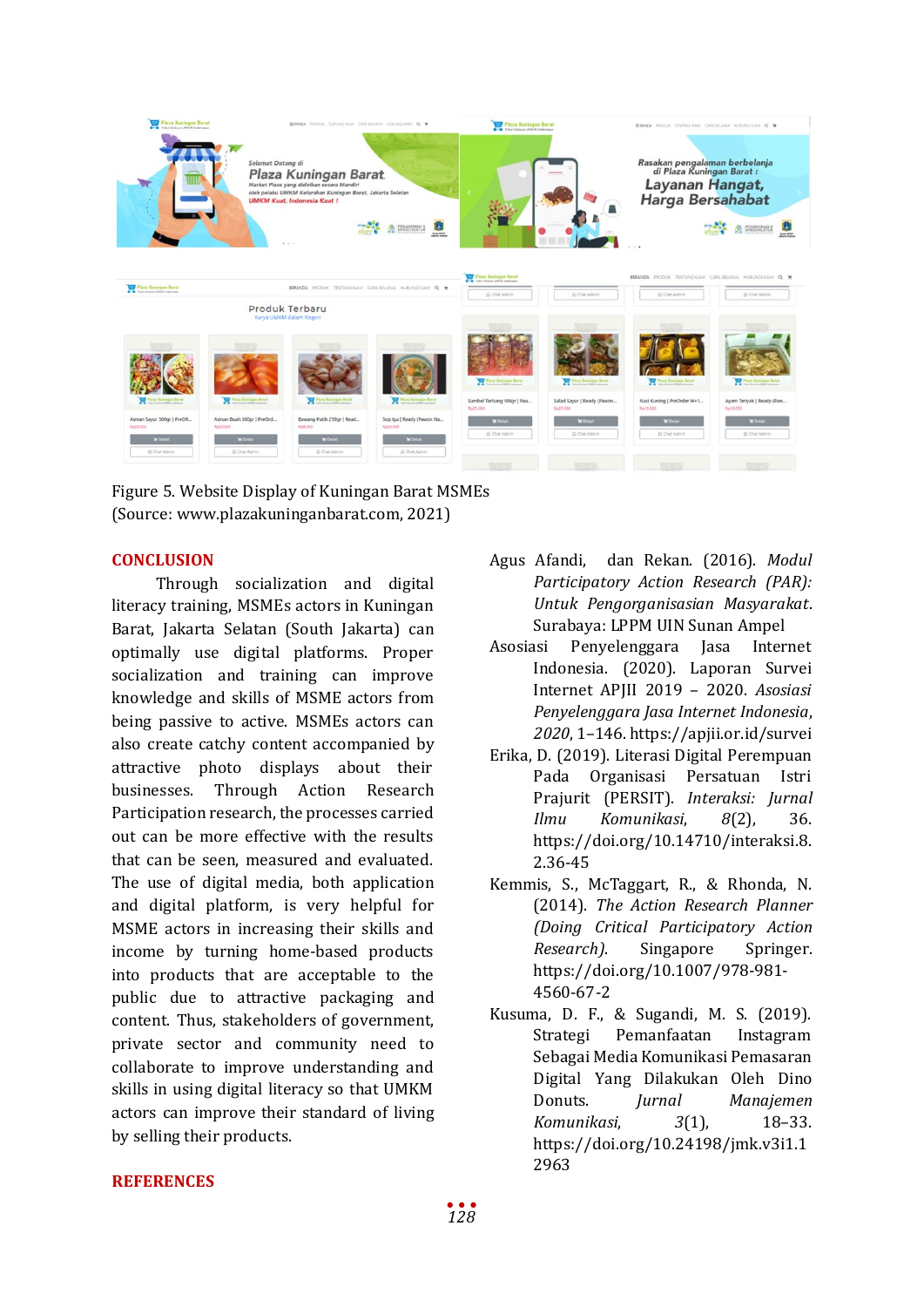

Figure 5. Website Display of Kuningan Barat MSMEs (Source: www.plazakuninganbarat.com, 2021)

## **CONCLUSION**

Through socialization and digital literacy training, MSMEs actors in Kuningan Barat, Jakarta Selatan (South Jakarta) can optimally use digital platforms. Proper socialization and training can improve knowledge and skills of MSME actors from being passive to active. MSMEs actors can also create catchy content accompanied by attractive photo displays about their businesses. Through Action Research Participation research, the processes carried out can be more effective with the results that can be seen, measured and evaluated. The use of digital media, both application and digital platform, is very helpful for MSME actors in increasing their skills and income by turning home-based products into products that are acceptable to the public due to attractive packaging and content. Thus, stakeholders of government, private sector and community need to collaborate to improve understanding and skills in using digital literacy so that UMKM actors can improve their standard of living by selling their products.

- Agus Afandi, dan Rekan. (2016). *Modul Participatory Action Research (PAR): Untuk Pengorganisasian Masyarakat*. Surabaya: LPPM UIN Sunan Ampel
- Asosiasi Penyelenggara Jasa Internet Indonesia. (2020). Laporan Survei Internet APJII 2019 – 2020. *Asosiasi Penyelenggara Jasa Internet Indonesia*, *2020*, 1–146. https://apjii.or.id/survei
- Erika, D. (2019). Literasi Digital Perempuan Organisasi Persatuan Istri Prajurit (PERSIT). *Interaksi: Jurnal Ilmu Komunikasi*, *8*(2), 36. https://doi.org/10.14710/interaksi.8. 2.36-45
- Kemmis, S., McTaggart, R., & Rhonda, N. (2014). *The Action Research Planner (Doing Critical Participatory Action Research)*. Singapore Springer. https://doi.org/10.1007/978-981- 4560-67-2
- Kusuma, D. F., & Sugandi, M. S. (2019). Strategi Pemanfaatan Sebagai Media Komunikasi Pemasaran Digital Yang Dilakukan Oleh Dino<br>Donuts. *Jurnal Manajemen* Donuts. *Jurnal Manajemen Komunikasi*, *3*(1), 18–33. https://doi.org/10.24198/jmk.v3i1.1 2963

### **REFERENCES**